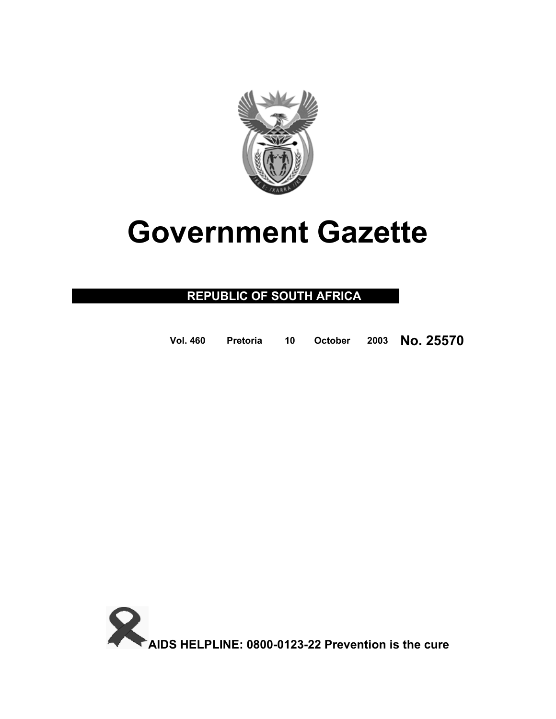

# **Government Gazette**

# **REPUBLIC OF SOUTH AFRICA**

| Vol. 460 |  |  |  |  | Pretoria 10 October 2003 No. 25570 |
|----------|--|--|--|--|------------------------------------|
|----------|--|--|--|--|------------------------------------|

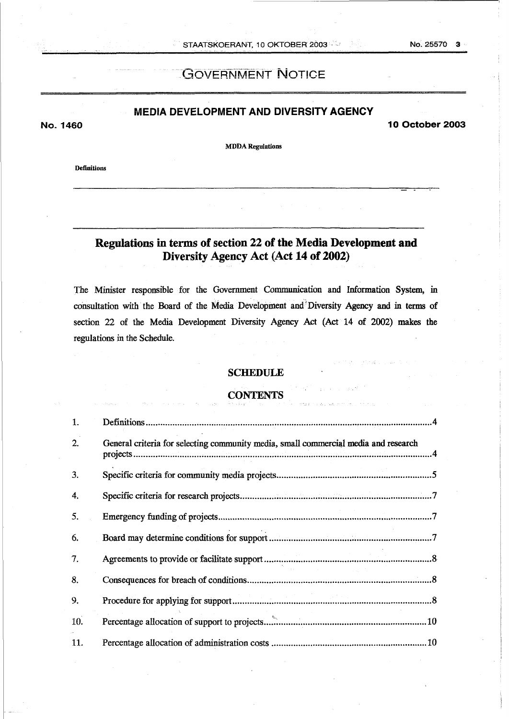No. 25570 3

# **GOVERNMENT NOTICE**

# **MEDIA DEVELOPMENT AND DIVERSITY AGENCY**

**No. 1460 10 October 2003** 

**I\_** .

**MDDA Regulations** 

**Definitions** 

# **Regulations in terms of section 22 of the Media Development and Diversity Agency Act (Act 14 of 2002)**

The Minister esponsible for the Government Communication and Information System, in cohsultation with the Board of the Media Development and'Diversity **Agency** and in **terms** of section 22 **of** the Media Development Diversity Agency Act (Act **14** *of* 2002) **makes** the regulations in the Schedule.

# **SCHEDULE**

# **CONTENTS** ..

| 1.  |                                                                                     |
|-----|-------------------------------------------------------------------------------------|
| 2.  | General criteria for selecting community media, small commercial media and research |
| 3.  |                                                                                     |
| 4.  |                                                                                     |
| 5.  |                                                                                     |
| 6.  |                                                                                     |
| 7.  |                                                                                     |
| 8.  |                                                                                     |
| 9.  |                                                                                     |
| 10. |                                                                                     |
| 11. |                                                                                     |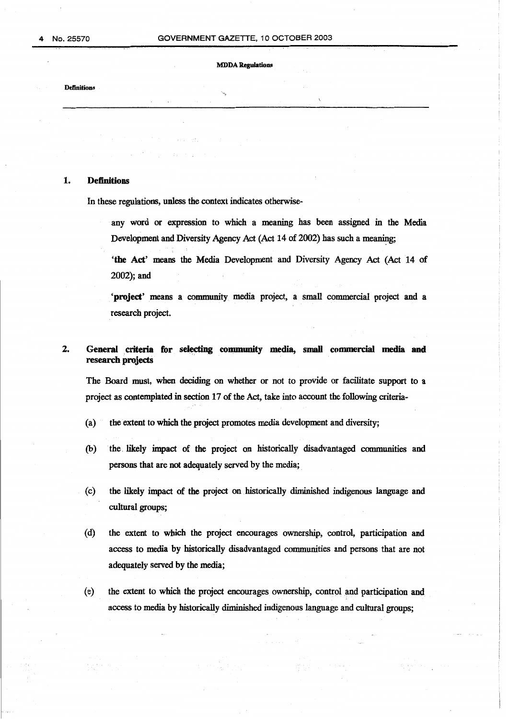<span id="page-2-0"></span>**Definitions** 

# **1. Definitions**

In these regulations, unless the context indicates otherwise-

any word or expression to which a meaning has been assigned in the Media Development and Diversity Agency Act (Act **14** of **2002)** has such a meaning;

**'the Act' means** the Media Development and Diversity Agency Act (Act **14 of 2002);** and

**'project'** means a community media project, a small commercial project and **a**  research project.

# 2. General criteria for selecting community media, small commercial media and **research projects**

The Board must, when deciding on whether or not **to** provide or facilitate support to a project **as** contemplated in section **17** of **the** *Act,* take into account the following criteria-

- the extent to which the project promotes media development and diversity;  $(a)$
- the likely impact **of** the project on historically disadvantaged communities and  $(b)$ **persons** that are not adequately served by the **media;**
- **the** likely impact **of** the project on .historically diminished indigenous language and  $(c)$ cultural groups;
- $(d)$ the extent to which the project encourages ownership, control, participation and access to media **by** historically disadvantaged communities **and** persons that are not adequately served by the media;
- $(e)$ the extent to which the project encourages ownership, control and participation and access to media by historically diminished indigenous language and cultural goups;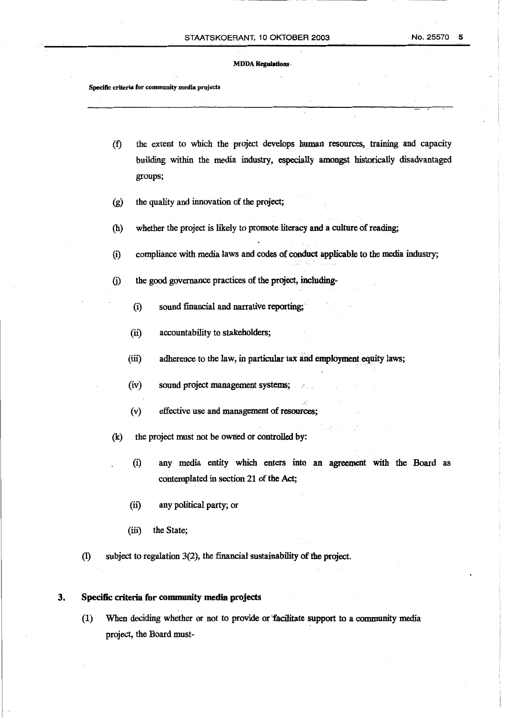<span id="page-3-0"></span>**Specific criteria for community media projects** 

- the extent to which the project develops **human** resources, training and capacity  $(f)$ **building** within the media industry, especially amongst historically disadvantaged groups;
- the quality and innovation of the project;  $(g)$
- whether the project is likely to promote literacy and a culture of reading;  $(h)$
- compliance with media laws and codes **of** conduct applicable to the media industry;  $(i)$
- the good governance practices of the project, including- $(i)$ 
	- (i) sound financial and narrative reporting;
	- (ii) accountability to stakeholders;
	- (iii) adherence to the law, in particular tax and employment **equity laws;**
	- (iv) sound project management systems;
	- **(v)** effective use and management **of** resources;
- (k) the project must not be owned or controlled by:
	- **<sup>I</sup>**(i) any media entity which enters into angreement with the **Board** as contemplated in section **21 of** the Act;
	- (ii) any political party; or
	- (iii) the State;
- (1) subject to regulation **3(2),** the financial sustainability **of** the project.

#### **3. Specific criteria for community media projects**

**(1)** When deciding whether or not to provide or"facilitate support to a *comrrmnity* media project, the Board must-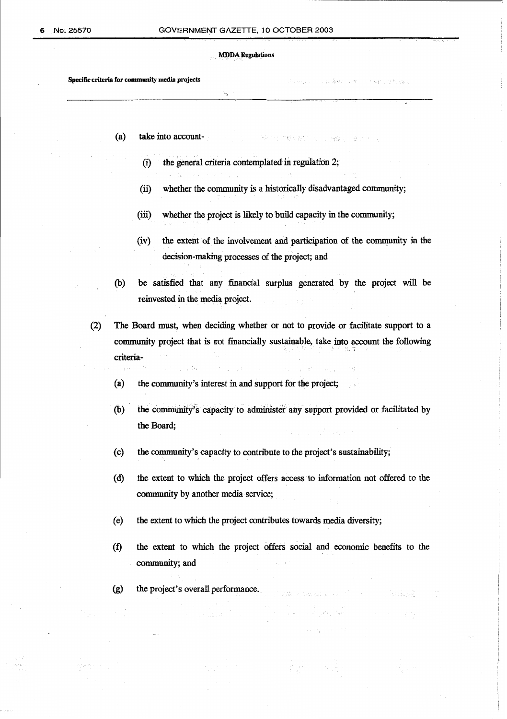**Specific criteria for community media projects** .. *7* ,.

- (a) take into account-
	- (i) the general criteria contemplated in regulation 2;

,\*\*

- (ii) whether the community is **a** historically disadvantaged community;
- **(iii)** whether the project **is** likely to build capacity in the community;
- (iv) the extent of the involvement and participation of the community in the decision-making processes of the project; and

the common state and state

- (b) be satisfied that any **financial** surplus generated by the project will be reinvested in the **media** project.
- (2) The Board must, when deciding whether or not to provide or facilitate support to a community project that is not financially sustainable, take into account the following criteria-
	- $(a)$ the community's interest in and support for the project;
	- the community's capacity to administer any support provided or facilitated by  $(b)$ the **Board;**
	- $(c)$ the community's capacity to contribute to the project's sustainability;
	- $(d)$ the extent to which the project offers access to information not offered to the community by another media service;
	- $(e)$ the extent to which the project contributes towards media diversity;
	- $(f)$ the extent to which the project offers social and economic benefits to the community; and

.<br>Trining 9년

 $(g)$ the project's overall performance.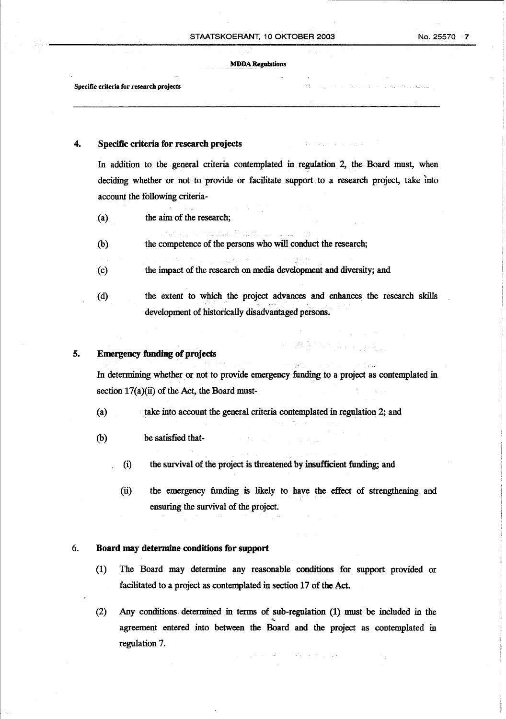<span id="page-5-0"></span>**Specific criteria for research projects** 

# **4. Specific criteria for research projects**

In addition to the general criteria contemplated in regulation 2, the Board must, when deciding whether or not to provide or facilitate support to a research project, take into account the following criteria-

- (a) the **aim** of the research;
- (b) the competence of the persons who will conduct the research;
- (c) the impact of the research on media development and diversity; and
- (d) the extent to which the project advances and enhances the research **skills**  development of historically disadvantaged persons.

# **5. Emergency funding of projects**

In determining whether or not to provide emergency funding to a project as contemplated in section 17(a)(ii) of the Act, the Board must-

- (a) take into account the general criteria contemplated in regulation 2; and
- (b) be satisfied that-
	- (i) the survival of the project is threatened **by** insufficient funding; and
	- (ii) the mergency funding is likely to have the ffect of strengthening and ensuring the survival of the project.

## 6. **Board may determine conditions for support**

- (1) The Board may determine any reasonable conditions for support provided or facilitated to a project **as** contemplated in section **17** of the Act.
- (2) Any conditions. determined in terms of sub-regulation **(1)** must be included in the agreement entered into between the Board and the project as contemplated in regulation **7.**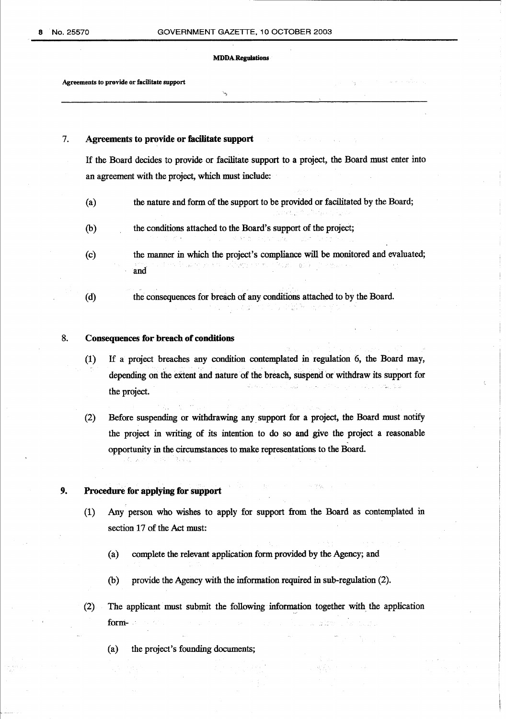-3

<span id="page-6-0"></span>**Agreements to provide or facilitate support** 

# **7. Agreements to provide or facilitate support**

If the Board decides to provide or facilitate support to a project, the Board must enter into an agreement with the project, which must include:

- (a> the nature and form of the support to be provided or facilitated by the Board;
- @) the conditions attached to the Board's support of the project;
- (c) the manner in which the project's compliance will be monitored and evaluated; and
- (d) the consequences for breach of any conditions attached to by the Board.  $\sim 10^{-1}$

## **8. Consequences for breach of conditions**

- **(1)** If *a* project breaches any condition contemplated in regulation **6,** the Board **may,**  depending on the extent **and** nature of the breach, suspend or withdraw its support for the project.
- (2) Before suspending or withdrawing any. support for a project, the Board must notify the project in writing **of** its intention to do *so* and give the project a reasonable opportunity in the circumstances to make representations to **the** Board.

# **9. Procedure for applying for support**

- (1) Any person who wishes to apply for support from the Board as contemplated in section **17** of the Act must:
	- (a) complete the relevant application form provided by the Agency; and
	- $(b)$  provide the Agency with the information required in sub-regulation  $(2)$ .
- $(2)$  The applicant must submit the following information together with the application form- at the state of the state of the state of the state  $\omega$  ,  $\omega$ 
	- (a) the project's founding documents;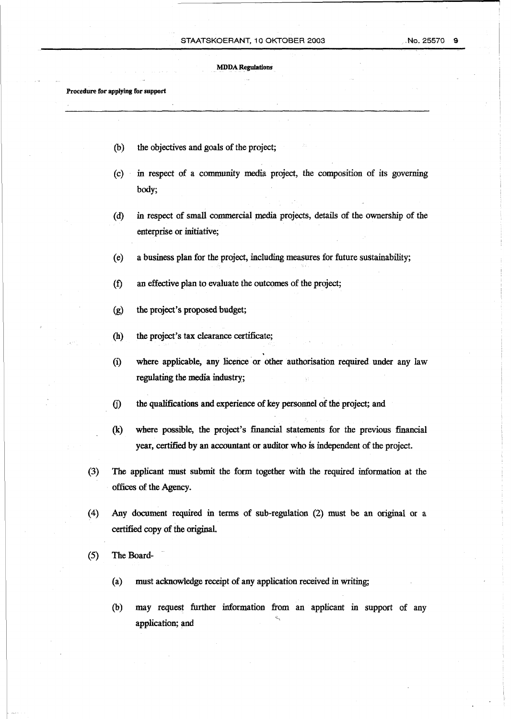## **STAATSKOERANT,** 10 OKTOBER *2003* .No. *25570* **9**

#### **MDDA Regulations**

**Procedure for applying for support** 

- (b) the objectives and goals of the project;
- (c) in respect of a community media project, the composition of its governing body;
- (d) in respect of small commercial media projects, details **of** the ownership of the enterprise or initiative;
- (e) **a** business plan for the project, including measures for future sustainability;
- **(f)** an effective plan to evaluate the outcomes of the project;
- (g) **the** project's proposed budget;
- (h) the project's tax clearance certificate;
- (i) where applicable, any licence or other authorisation required under any law regulating the **media** industry;
- **0)** the qualifications and experience of key personnel of the project; and
- **(k)** where possible, the project's financial statements for the previous financial year, certified by an accountant **or** auditor who *ii* independent of the project.
- **(3)** The applicant must submit the form together with the required information at the offices **of** the Agency.
- **(4)** Any document required in terms of sub-regulation (2) must be **an** original or a certified copy of the original.
- (5) The Board-
	- (a) **must** acknowledge receipt of any application received in writing;
	- (b) may request further information from an applicant in support of any application; and